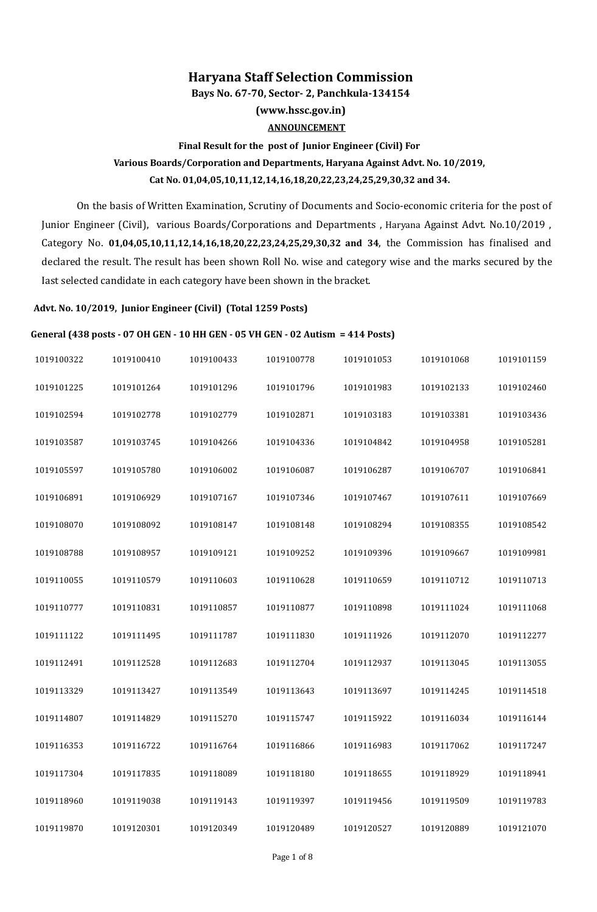## **Haryana Staff Selection Commission**

**Bays No. 67-70, Sector- 2, Panchkula-134154**

**(www.hssc.gov.in)**

### **ANNOUNCEMENT**

# **Final Result for the post of Junior Engineer (Civil) For Various Boards/Corporation and Departments, Haryana Against Advt. No. 10/2019, Cat No. 01,04,05,10,11,12,14,16,18,20,22,23,24,25,29,30,32 and 34.**

On the basis of Written Examination, Scrutiny of Documents and Socio-economic criteria for the post of Junior Engineer (Civil), various Boards/Corporations and Departments, Haryana Against Advt. No.10/2019, Category No. 01,04,05,10,11,12,14,16,18,20,22,23,24,25,29,30,32 and 34, the Commission has finalised and declared the result. The result has been shown Roll No. wise and category wise and the marks secured by the Iast selected candidate in each category have been shown in the bracket.

## **Advt. No. 10/2019, Junior Engineer (Civil) (Total 1259 Posts)**

#### **General (438 posts - 07 OH GEN - 10 HH GEN - 05 VH GEN - 02 Autism = 414 Posts)**

| 1019100322 | 1019100410 | 1019100433 | 1019100778 | 1019101053 | 1019101068 | 1019101159 |
|------------|------------|------------|------------|------------|------------|------------|
| 1019101225 | 1019101264 | 1019101296 | 1019101796 | 1019101983 | 1019102133 | 1019102460 |
| 1019102594 | 1019102778 | 1019102779 | 1019102871 | 1019103183 | 1019103381 | 1019103436 |
| 1019103587 | 1019103745 | 1019104266 | 1019104336 | 1019104842 | 1019104958 | 1019105281 |
| 1019105597 | 1019105780 | 1019106002 | 1019106087 | 1019106287 | 1019106707 | 1019106841 |
| 1019106891 | 1019106929 | 1019107167 | 1019107346 | 1019107467 | 1019107611 | 1019107669 |
| 1019108070 | 1019108092 | 1019108147 | 1019108148 | 1019108294 | 1019108355 | 1019108542 |
| 1019108788 | 1019108957 | 1019109121 | 1019109252 | 1019109396 | 1019109667 | 1019109981 |
| 1019110055 | 1019110579 | 1019110603 | 1019110628 | 1019110659 | 1019110712 | 1019110713 |
| 1019110777 | 1019110831 | 1019110857 | 1019110877 | 1019110898 | 1019111024 | 1019111068 |
| 1019111122 | 1019111495 | 1019111787 | 1019111830 | 1019111926 | 1019112070 | 1019112277 |
| 1019112491 | 1019112528 | 1019112683 | 1019112704 | 1019112937 | 1019113045 | 1019113055 |
| 1019113329 | 1019113427 | 1019113549 | 1019113643 | 1019113697 | 1019114245 | 1019114518 |
| 1019114807 | 1019114829 | 1019115270 | 1019115747 | 1019115922 | 1019116034 | 1019116144 |
| 1019116353 | 1019116722 | 1019116764 | 1019116866 | 1019116983 | 1019117062 | 1019117247 |
| 1019117304 | 1019117835 | 1019118089 | 1019118180 | 1019118655 | 1019118929 | 1019118941 |
| 1019118960 | 1019119038 | 1019119143 | 1019119397 | 1019119456 | 1019119509 | 1019119783 |
| 1019119870 | 1019120301 | 1019120349 | 1019120489 | 1019120527 | 1019120889 | 1019121070 |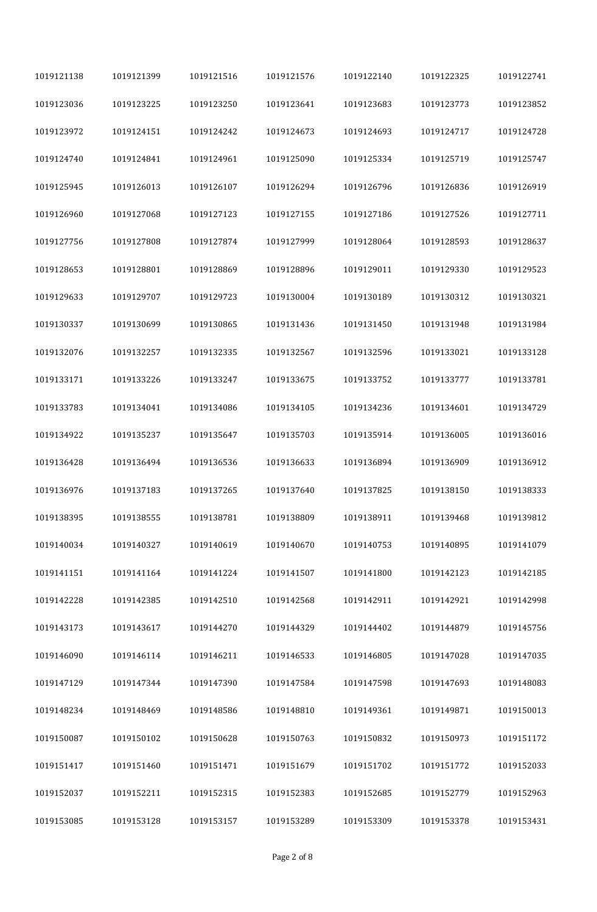| 1019121138 | 1019121399 | 1019121516 | 1019121576 | 1019122140 | 1019122325 | 1019122741 |
|------------|------------|------------|------------|------------|------------|------------|
| 1019123036 | 1019123225 | 1019123250 | 1019123641 | 1019123683 | 1019123773 | 1019123852 |
| 1019123972 | 1019124151 | 1019124242 | 1019124673 | 1019124693 | 1019124717 | 1019124728 |
| 1019124740 | 1019124841 | 1019124961 | 1019125090 | 1019125334 | 1019125719 | 1019125747 |
| 1019125945 | 1019126013 | 1019126107 | 1019126294 | 1019126796 | 1019126836 | 1019126919 |
| 1019126960 | 1019127068 | 1019127123 | 1019127155 | 1019127186 | 1019127526 | 1019127711 |
| 1019127756 | 1019127808 | 1019127874 | 1019127999 | 1019128064 | 1019128593 | 1019128637 |
| 1019128653 | 1019128801 | 1019128869 | 1019128896 | 1019129011 | 1019129330 | 1019129523 |
| 1019129633 | 1019129707 | 1019129723 | 1019130004 | 1019130189 | 1019130312 | 1019130321 |
| 1019130337 | 1019130699 | 1019130865 | 1019131436 | 1019131450 | 1019131948 | 1019131984 |
| 1019132076 | 1019132257 | 1019132335 | 1019132567 | 1019132596 | 1019133021 | 1019133128 |
| 1019133171 | 1019133226 | 1019133247 | 1019133675 | 1019133752 | 1019133777 | 1019133781 |
| 1019133783 | 1019134041 | 1019134086 | 1019134105 | 1019134236 | 1019134601 | 1019134729 |
| 1019134922 | 1019135237 | 1019135647 | 1019135703 | 1019135914 | 1019136005 | 1019136016 |
| 1019136428 | 1019136494 | 1019136536 | 1019136633 | 1019136894 | 1019136909 | 1019136912 |
| 1019136976 | 1019137183 | 1019137265 | 1019137640 | 1019137825 | 1019138150 | 1019138333 |
| 1019138395 | 1019138555 | 1019138781 | 1019138809 | 1019138911 | 1019139468 | 1019139812 |
| 1019140034 | 1019140327 | 1019140619 | 1019140670 | 1019140753 | 1019140895 | 1019141079 |
| 1019141151 | 1019141164 | 1019141224 | 1019141507 | 1019141800 | 1019142123 | 1019142185 |
| 1019142228 | 1019142385 | 1019142510 | 1019142568 | 1019142911 | 1019142921 | 1019142998 |
| 1019143173 | 1019143617 | 1019144270 | 1019144329 | 1019144402 | 1019144879 | 1019145756 |
| 1019146090 | 1019146114 | 1019146211 | 1019146533 | 1019146805 | 1019147028 | 1019147035 |
| 1019147129 | 1019147344 | 1019147390 | 1019147584 | 1019147598 | 1019147693 | 1019148083 |
| 1019148234 | 1019148469 | 1019148586 | 1019148810 | 1019149361 | 1019149871 | 1019150013 |
| 1019150087 | 1019150102 | 1019150628 | 1019150763 | 1019150832 | 1019150973 | 1019151172 |
| 1019151417 | 1019151460 | 1019151471 | 1019151679 | 1019151702 | 1019151772 | 1019152033 |
| 1019152037 | 1019152211 | 1019152315 | 1019152383 | 1019152685 | 1019152779 | 1019152963 |
| 1019153085 | 1019153128 | 1019153157 | 1019153289 | 1019153309 | 1019153378 | 1019153431 |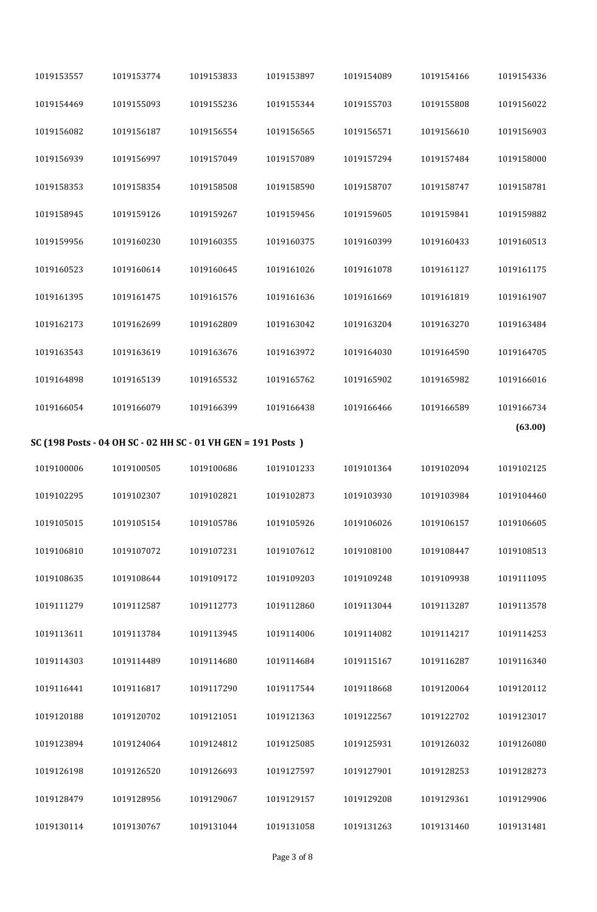| 1019153557 | 1019153774 | 1019153833                                                   | 1019153897 | 1019154089 | 1019154166 | 1019154336 |
|------------|------------|--------------------------------------------------------------|------------|------------|------------|------------|
| 1019154469 | 1019155093 | 1019155236                                                   | 1019155344 | 1019155703 | 1019155808 | 1019156022 |
| 1019156082 | 1019156187 | 1019156554                                                   | 1019156565 | 1019156571 | 1019156610 | 1019156903 |
| 1019156939 | 1019156997 | 1019157049                                                   | 1019157089 | 1019157294 | 1019157484 | 1019158000 |
| 1019158353 | 1019158354 | 1019158508                                                   | 1019158590 | 1019158707 | 1019158747 | 1019158781 |
| 1019158945 | 1019159126 | 1019159267                                                   | 1019159456 | 1019159605 | 1019159841 | 1019159882 |
| 1019159956 | 1019160230 | 1019160355                                                   | 1019160375 | 1019160399 | 1019160433 | 1019160513 |
| 1019160523 | 1019160614 | 1019160645                                                   | 1019161026 | 1019161078 | 1019161127 | 1019161175 |
| 1019161395 | 1019161475 | 1019161576                                                   | 1019161636 | 1019161669 | 1019161819 | 1019161907 |
| 1019162173 | 1019162699 | 1019162809                                                   | 1019163042 | 1019163204 | 1019163270 | 1019163484 |
| 1019163543 | 1019163619 | 1019163676                                                   | 1019163972 | 1019164030 | 1019164590 | 1019164705 |
| 1019164898 | 1019165139 | 1019165532                                                   | 1019165762 | 1019165902 | 1019165982 | 1019166016 |
| 1019166054 | 1019166079 | 1019166399                                                   | 1019166438 | 1019166466 | 1019166589 | 1019166734 |
|            |            | SC (198 Posts - 04 OH SC - 02 HH SC - 01 VH GEN = 191 Posts) |            |            |            | (63.00)    |
| 1019100006 | 1019100505 | 1019100686                                                   | 1019101233 | 1019101364 | 1019102094 | 1019102125 |
|            |            |                                                              |            |            |            |            |
| 1019102295 | 1019102307 | 1019102821                                                   | 1019102873 | 1019103930 | 1019103984 | 1019104460 |
|            |            |                                                              |            |            |            |            |
| 1019105015 | 1019105154 | 1019105786                                                   | 1019105926 | 1019106026 | 1019106157 | 1019106605 |
| 1019106810 | 1019107072 | 1019107231                                                   | 1019107612 | 1019108100 | 1019108447 | 1019108513 |
| 1019108635 | 1019108644 | 1019109172                                                   | 1019109203 | 1019109248 | 1019109938 | 1019111095 |
| 1019111279 | 1019112587 | 1019112773                                                   | 1019112860 | 1019113044 | 1019113287 | 1019113578 |
| 1019113611 | 1019113784 | 1019113945                                                   | 1019114006 | 1019114082 | 1019114217 | 1019114253 |
| 1019114303 | 1019114489 | 1019114680                                                   | 1019114684 | 1019115167 | 1019116287 | 1019116340 |
| 1019116441 | 1019116817 | 1019117290                                                   | 1019117544 | 1019118668 | 1019120064 | 1019120112 |
| 1019120188 | 1019120702 | 1019121051                                                   | 1019121363 | 1019122567 | 1019122702 | 1019123017 |
| 1019123894 | 1019124064 | 1019124812                                                   | 1019125085 | 1019125931 | 1019126032 | 1019126080 |
| 1019126198 | 1019126520 | 1019126693                                                   | 1019127597 | 1019127901 | 1019128253 | 1019128273 |
| 1019128479 | 1019128956 | 1019129067                                                   | 1019129157 | 1019129208 | 1019129361 | 1019129906 |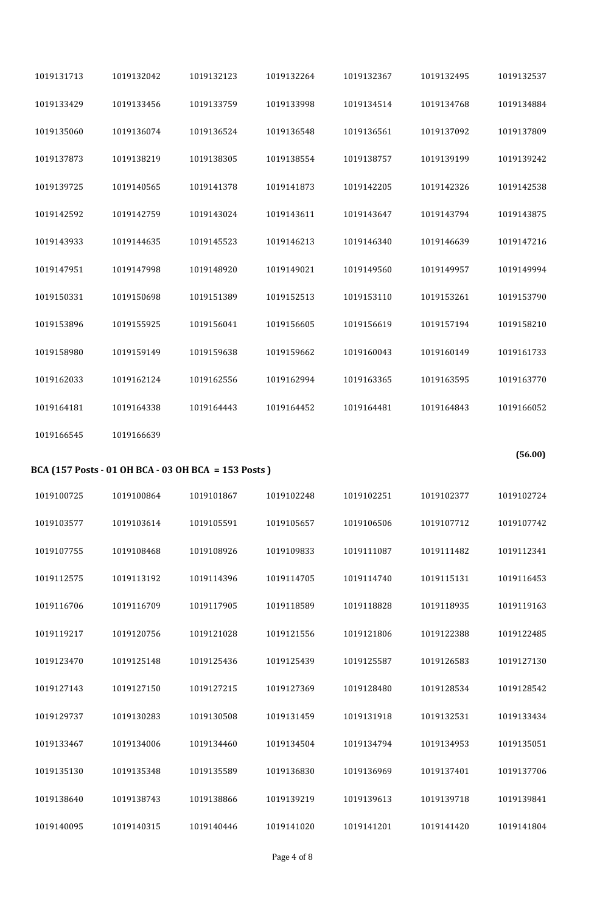| 1019131713 | 1019132042 | 1019132123                                          | 1019132264 | 1019132367 | 1019132495 | 1019132537 |
|------------|------------|-----------------------------------------------------|------------|------------|------------|------------|
| 1019133429 | 1019133456 | 1019133759                                          | 1019133998 | 1019134514 | 1019134768 | 1019134884 |
| 1019135060 | 1019136074 | 1019136524                                          | 1019136548 | 1019136561 | 1019137092 | 1019137809 |
| 1019137873 | 1019138219 | 1019138305                                          | 1019138554 | 1019138757 | 1019139199 | 1019139242 |
| 1019139725 | 1019140565 | 1019141378                                          | 1019141873 | 1019142205 | 1019142326 | 1019142538 |
| 1019142592 | 1019142759 | 1019143024                                          | 1019143611 | 1019143647 | 1019143794 | 1019143875 |
| 1019143933 | 1019144635 | 1019145523                                          | 1019146213 | 1019146340 | 1019146639 | 1019147216 |
| 1019147951 | 1019147998 | 1019148920                                          | 1019149021 | 1019149560 | 1019149957 | 1019149994 |
| 1019150331 | 1019150698 | 1019151389                                          | 1019152513 | 1019153110 | 1019153261 | 1019153790 |
| 1019153896 | 1019155925 | 1019156041                                          | 1019156605 | 1019156619 | 1019157194 | 1019158210 |
| 1019158980 | 1019159149 | 1019159638                                          | 1019159662 | 1019160043 | 1019160149 | 1019161733 |
| 1019162033 | 1019162124 | 1019162556                                          | 1019162994 | 1019163365 | 1019163595 | 1019163770 |
| 1019164181 | 1019164338 | 1019164443                                          | 1019164452 | 1019164481 | 1019164843 | 1019166052 |
| 1019166545 | 1019166639 |                                                     |            |            |            |            |
|            |            |                                                     |            |            |            |            |
|            |            | BCA (157 Posts - 01 OH BCA - 03 OH BCA = 153 Posts) |            |            |            | (56.00)    |
| 1019100725 | 1019100864 | 1019101867                                          | 1019102248 | 1019102251 | 1019102377 | 1019102724 |
| 1019103577 | 1019103614 | 1019105591                                          | 1019105657 | 1019106506 | 1019107712 | 1019107742 |
| 1019107755 | 1019108468 | 1019108926                                          | 1019109833 | 1019111087 | 1019111482 | 1019112341 |
| 1019112575 | 1019113192 | 1019114396                                          | 1019114705 | 1019114740 | 1019115131 | 1019116453 |
| 1019116706 | 1019116709 | 1019117905                                          | 1019118589 | 1019118828 | 1019118935 | 1019119163 |
| 1019119217 | 1019120756 | 1019121028                                          | 1019121556 | 1019121806 | 1019122388 | 1019122485 |
| 1019123470 | 1019125148 | 1019125436                                          | 1019125439 | 1019125587 | 1019126583 | 1019127130 |
| 1019127143 | 1019127150 | 1019127215                                          | 1019127369 | 1019128480 | 1019128534 | 1019128542 |
| 1019129737 | 1019130283 | 1019130508                                          | 1019131459 | 1019131918 | 1019132531 | 1019133434 |
| 1019133467 | 1019134006 | 1019134460                                          | 1019134504 | 1019134794 | 1019134953 | 1019135051 |
| 1019135130 | 1019135348 | 1019135589                                          | 1019136830 | 1019136969 | 1019137401 | 1019137706 |
| 1019138640 | 1019138743 | 1019138866                                          | 1019139219 | 1019139613 | 1019139718 | 1019139841 |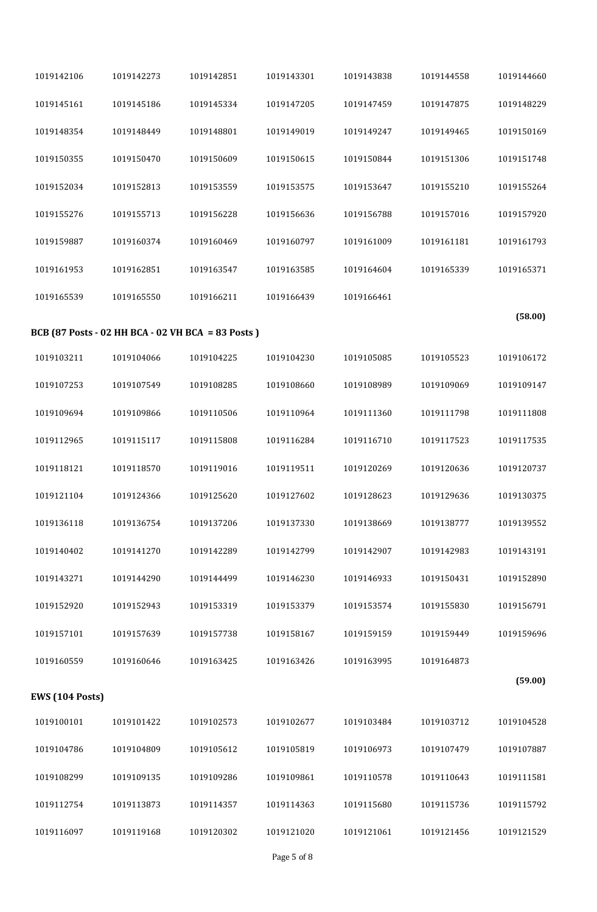| 1019142106             | 1019142273                                        | 1019142851 | 1019143301 | 1019143838 | 1019144558 | 1019144660 |  |
|------------------------|---------------------------------------------------|------------|------------|------------|------------|------------|--|
| 1019145161             | 1019145186                                        | 1019145334 | 1019147205 | 1019147459 | 1019147875 | 1019148229 |  |
| 1019148354             | 1019148449                                        | 1019148801 | 1019149019 | 1019149247 | 1019149465 | 1019150169 |  |
| 1019150355             | 1019150470                                        | 1019150609 | 1019150615 | 1019150844 | 1019151306 | 1019151748 |  |
| 1019152034             | 1019152813                                        | 1019153559 | 1019153575 | 1019153647 | 1019155210 | 1019155264 |  |
| 1019155276             | 1019155713                                        | 1019156228 | 1019156636 | 1019156788 | 1019157016 | 1019157920 |  |
| 1019159887             | 1019160374                                        | 1019160469 | 1019160797 | 1019161009 | 1019161181 | 1019161793 |  |
| 1019161953             | 1019162851                                        | 1019163547 | 1019163585 | 1019164604 | 1019165339 | 1019165371 |  |
| 1019165539             | 1019165550                                        | 1019166211 | 1019166439 | 1019166461 |            |            |  |
|                        | BCB (87 Posts - 02 HH BCA - 02 VH BCA = 83 Posts) |            |            |            |            | (58.00)    |  |
| 1019103211             | 1019104066                                        | 1019104225 | 1019104230 | 1019105085 | 1019105523 | 1019106172 |  |
| 1019107253             | 1019107549                                        | 1019108285 | 1019108660 | 1019108989 | 1019109069 | 1019109147 |  |
| 1019109694             | 1019109866                                        | 1019110506 | 1019110964 | 1019111360 | 1019111798 | 1019111808 |  |
| 1019112965             | 1019115117                                        | 1019115808 | 1019116284 | 1019116710 | 1019117523 | 1019117535 |  |
| 1019118121             | 1019118570                                        | 1019119016 | 1019119511 | 1019120269 | 1019120636 | 1019120737 |  |
| 1019121104             | 1019124366                                        | 1019125620 | 1019127602 | 1019128623 | 1019129636 | 1019130375 |  |
| 1019136118             | 1019136754                                        | 1019137206 | 1019137330 | 1019138669 | 1019138777 | 1019139552 |  |
| 1019140402             | 1019141270                                        | 1019142289 | 1019142799 | 1019142907 | 1019142983 | 1019143191 |  |
| 1019143271             | 1019144290                                        | 1019144499 | 1019146230 | 1019146933 | 1019150431 | 1019152890 |  |
| 1019152920             | 1019152943                                        | 1019153319 | 1019153379 | 1019153574 | 1019155830 | 1019156791 |  |
| 1019157101             | 1019157639                                        | 1019157738 | 1019158167 | 1019159159 | 1019159449 | 1019159696 |  |
| 1019160559             | 1019160646                                        | 1019163425 | 1019163426 | 1019163995 | 1019164873 |            |  |
| <b>EWS (104 Posts)</b> |                                                   |            |            |            |            | (59.00)    |  |
| 1019100101             | 1019101422                                        | 1019102573 | 1019102677 | 1019103484 | 1019103712 | 1019104528 |  |
| 1019104786             | 1019104809                                        | 1019105612 | 1019105819 | 1019106973 | 1019107479 | 1019107887 |  |
| 1019108299             | 1019109135                                        | 1019109286 | 1019109861 | 1019110578 | 1019110643 | 1019111581 |  |
| 1019112754             | 1019113873                                        | 1019114357 | 1019114363 | 1019115680 | 1019115736 | 1019115792 |  |
| 1019116097             | 1019119168                                        | 1019120302 | 1019121020 | 1019121061 | 1019121456 | 1019121529 |  |
|                        |                                                   |            |            |            |            |            |  |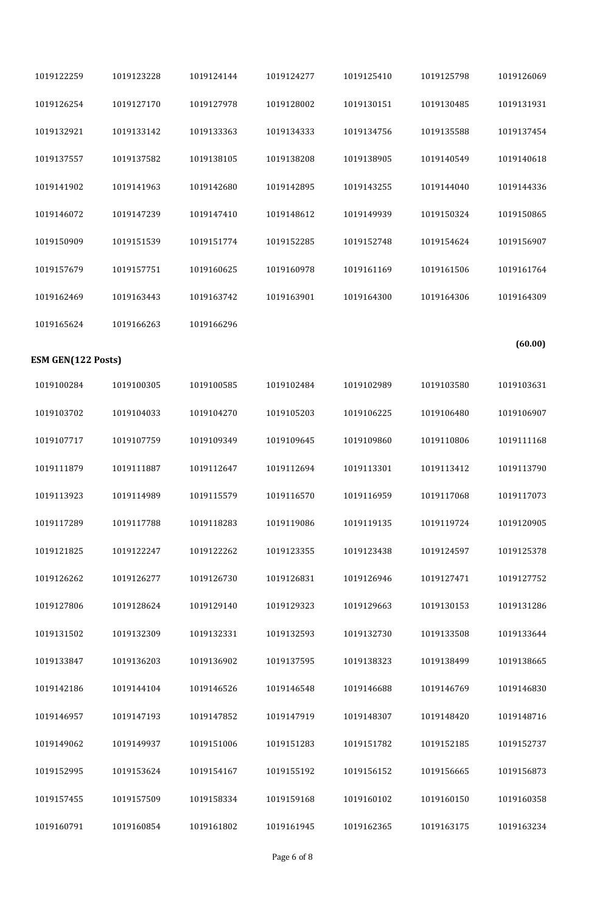| 1019126069 | 1019125798 | 1019125410 | 1019124277 | 1019124144 | 1019123228 | 1019122259                |
|------------|------------|------------|------------|------------|------------|---------------------------|
| 1019131931 | 1019130485 | 1019130151 | 1019128002 | 1019127978 | 1019127170 | 1019126254                |
| 1019137454 | 1019135588 | 1019134756 | 1019134333 | 1019133363 | 1019133142 | 1019132921                |
| 1019140618 | 1019140549 | 1019138905 | 1019138208 | 1019138105 | 1019137582 | 1019137557                |
| 1019144336 | 1019144040 | 1019143255 | 1019142895 | 1019142680 | 1019141963 | 1019141902                |
| 1019150865 | 1019150324 | 1019149939 | 1019148612 | 1019147410 | 1019147239 | 1019146072                |
| 1019156907 | 1019154624 | 1019152748 | 1019152285 | 1019151774 | 1019151539 | 1019150909                |
| 1019161764 | 1019161506 | 1019161169 | 1019160978 | 1019160625 | 1019157751 | 1019157679                |
| 1019164309 | 1019164306 | 1019164300 | 1019163901 | 1019163742 | 1019163443 | 1019162469                |
|            |            |            |            | 1019166296 | 1019166263 | 1019165624                |
| (60.00)    |            |            |            |            |            | <b>ESM GEN(122 Posts)</b> |
| 1019103631 | 1019103580 | 1019102989 | 1019102484 | 1019100585 | 1019100305 | 1019100284                |
| 1019106907 | 1019106480 | 1019106225 | 1019105203 | 1019104270 | 1019104033 | 1019103702                |
| 1019111168 | 1019110806 | 1019109860 | 1019109645 | 1019109349 | 1019107759 | 1019107717                |
| 1019113790 | 1019113412 | 1019113301 | 1019112694 | 1019112647 | 1019111887 | 1019111879                |
| 1019117073 | 1019117068 | 1019116959 | 1019116570 | 1019115579 | 1019114989 | 1019113923                |
| 1019120905 | 1019119724 | 1019119135 | 1019119086 | 1019118283 | 1019117788 | 1019117289                |
| 1019125378 | 1019124597 | 1019123438 | 1019123355 | 1019122262 | 1019122247 | 1019121825                |
| 1019127752 | 1019127471 | 1019126946 | 1019126831 | 1019126730 | 1019126277 | 1019126262                |
| 1019131286 | 1019130153 | 1019129663 | 1019129323 | 1019129140 | 1019128624 | 1019127806                |
| 1019133644 | 1019133508 | 1019132730 | 1019132593 | 1019132331 | 1019132309 | 1019131502                |
| 1019138665 | 1019138499 | 1019138323 | 1019137595 | 1019136902 | 1019136203 | 1019133847                |
| 1019146830 | 1019146769 | 1019146688 | 1019146548 | 1019146526 | 1019144104 | 1019142186                |
| 1019148716 | 1019148420 | 1019148307 | 1019147919 | 1019147852 | 1019147193 | 1019146957                |
| 1019152737 | 1019152185 | 1019151782 | 1019151283 | 1019151006 | 1019149937 | 1019149062                |
| 1019156873 | 1019156665 | 1019156152 | 1019155192 | 1019154167 | 1019153624 | 1019152995                |
| 1019160358 | 1019160150 | 1019160102 | 1019159168 | 1019158334 | 1019157509 | 1019157455                |
| 1019163234 | 1019163175 | 1019162365 | 1019161945 | 1019161802 | 1019160854 | 1019160791                |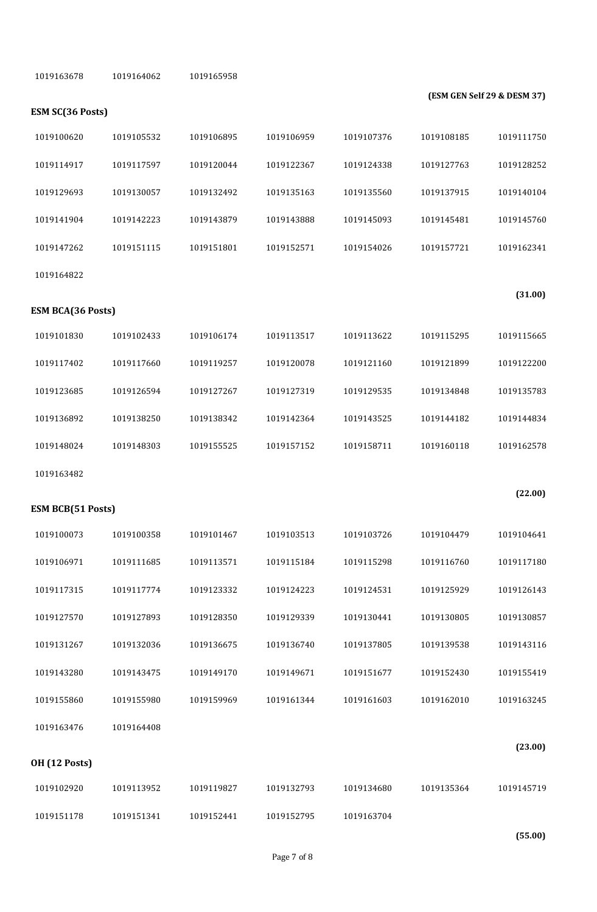| 1019163678               | 1019164062 | 1019165958 |            |            |            |                             |  |
|--------------------------|------------|------------|------------|------------|------------|-----------------------------|--|
| <b>ESM SC(36 Posts)</b>  |            |            |            |            |            | (ESM GEN Self 29 & DESM 37) |  |
| 1019100620               | 1019105532 | 1019106895 | 1019106959 | 1019107376 | 1019108185 | 1019111750                  |  |
| 1019114917               | 1019117597 | 1019120044 | 1019122367 | 1019124338 | 1019127763 | 1019128252                  |  |
| 1019129693               | 1019130057 | 1019132492 | 1019135163 | 1019135560 | 1019137915 | 1019140104                  |  |
| 1019141904               | 1019142223 | 1019143879 | 1019143888 | 1019145093 | 1019145481 | 1019145760                  |  |
| 1019147262               | 1019151115 | 1019151801 | 1019152571 | 1019154026 | 1019157721 | 1019162341                  |  |
| 1019164822               |            |            |            |            |            |                             |  |
| <b>ESM BCA(36 Posts)</b> |            |            |            |            |            | (31.00)                     |  |
| 1019101830               | 1019102433 | 1019106174 | 1019113517 | 1019113622 | 1019115295 | 1019115665                  |  |
| 1019117402               | 1019117660 | 1019119257 | 1019120078 | 1019121160 | 1019121899 | 1019122200                  |  |
| 1019123685               | 1019126594 | 1019127267 | 1019127319 | 1019129535 | 1019134848 | 1019135783                  |  |
| 1019136892               | 1019138250 | 1019138342 | 1019142364 | 1019143525 | 1019144182 | 1019144834                  |  |
| 1019148024               | 1019148303 | 1019155525 | 1019157152 | 1019158711 | 1019160118 | 1019162578                  |  |
| 1019163482               |            |            |            |            |            |                             |  |
|                          |            |            |            |            |            | (22.00)                     |  |
| <b>ESM BCB(51 Posts)</b> |            |            |            |            |            |                             |  |
| 1019100073               | 1019100358 | 1019101467 | 1019103513 | 1019103726 | 1019104479 | 1019104641                  |  |
| 1019106971               | 1019111685 | 1019113571 | 1019115184 | 1019115298 | 1019116760 | 1019117180                  |  |
| 1019117315               | 1019117774 | 1019123332 | 1019124223 | 1019124531 | 1019125929 | 1019126143                  |  |
| 1019127570               | 1019127893 | 1019128350 | 1019129339 | 1019130441 | 1019130805 | 1019130857                  |  |
| 1019131267               | 1019132036 | 1019136675 | 1019136740 | 1019137805 | 1019139538 | 1019143116                  |  |
| 1019143280               | 1019143475 | 1019149170 | 1019149671 | 1019151677 | 1019152430 | 1019155419                  |  |
| 1019155860               | 1019155980 | 1019159969 | 1019161344 | 1019161603 | 1019162010 | 1019163245                  |  |
| 1019163476               | 1019164408 |            |            |            |            |                             |  |
| <b>OH (12 Posts)</b>     |            |            |            |            |            | (23.00)                     |  |
| 1019102920               | 1019113952 | 1019119827 | 1019132793 | 1019134680 | 1019135364 | 1019145719                  |  |
| 1019151178               | 1019151341 | 1019152441 | 1019152795 | 1019163704 |            |                             |  |
|                          |            |            |            |            |            |                             |  |

**(55.00)**